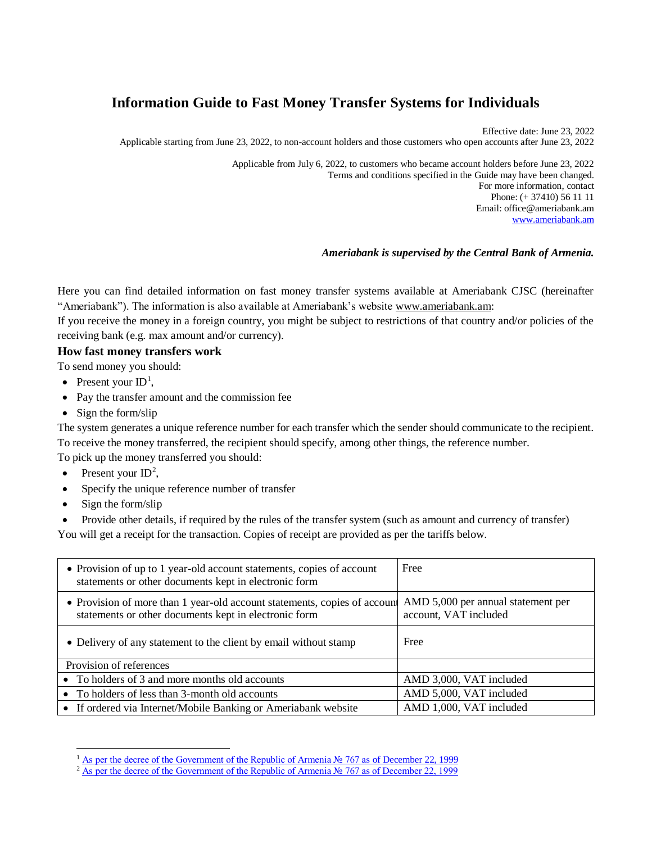# **Information Guide to Fast Money Transfer Systems for Individuals**

Effective date: June 23, 2022 Applicable starting from June 23, 2022, to non-account holders and those customers who open accounts after June 23, 2022

> Applicable from July 6, 2022, to customers who became account holders before June 23, 2022 Terms and conditions specified in the Guide may have been changed. For more information, contact Phone: (+ 37410) 56 11 11 Email: office@ameriabank.am [www.ameriabank.am](http://www.ameriabank.am/)

#### *Ameriabank is supervised by the Central Bank of Armenia.*

Here you can find detailed information on fast money transfer systems available at Ameriabank CJSC (hereinafter "Ameriabank"). The information is also available at Ameriabank's website [www.ameriabank.am:](http://www.ameriabank.am/)

If you receive the money in a foreign country, you might be subject to restrictions of that country and/or policies of the receiving bank (e.g. max amount and/or currency).

## **How fast money transfers work**

- To send money you should:
- Present your  $ID<sup>1</sup>$ ,
- Pay the transfer amount and the commission fee
- $\bullet$  Sign the form/slip

The system generates a unique reference number for each transfer which the sender should communicate to the recipient. To receive the money transferred, the recipient should specify, among other things, the reference number.

To pick up the money transferred you should:

- Present your  $ID^2$ ,
- Specify the unique reference number of transfer
- $\bullet$  Sign the form/slip

 $\overline{\phantom{a}}$ 

Provide other details, if required by the rules of the transfer system (such as amount and currency of transfer)

You will get a receipt for the transaction. Copies of receipt are provided as per the tariffs below.

| • Provision of up to 1 year-old account statements, copies of account<br>statements or other documents kept in electronic form     | Free                                                        |
|------------------------------------------------------------------------------------------------------------------------------------|-------------------------------------------------------------|
| • Provision of more than 1 year-old account statements, copies of account<br>statements or other documents kept in electronic form | AMD 5,000 per annual statement per<br>account, VAT included |
| • Delivery of any statement to the client by email without stamp                                                                   | Free                                                        |
| Provision of references                                                                                                            |                                                             |
| • To holders of 3 and more months old accounts                                                                                     | AMD 3,000, VAT included                                     |
| • To holders of less than 3-month old accounts                                                                                     | AMD 5,000, VAT included                                     |
| • If ordered via Internet/Mobile Banking or Ameriabank website                                                                     | AMD 1,000, VAT included                                     |

<sup>&</sup>lt;sup>1</sup> [As per the decree of the Government of the Republic of Armenia № 767 as of December 22, 1999](https://www.arlis.am/DocumentView.aspx?DocID=111714)

<sup>2</sup> [As per the decree of the Government of the Republic of Armenia № 767 as of December 22, 1999](https://www.arlis.am/DocumentView.aspx?DocID=111714)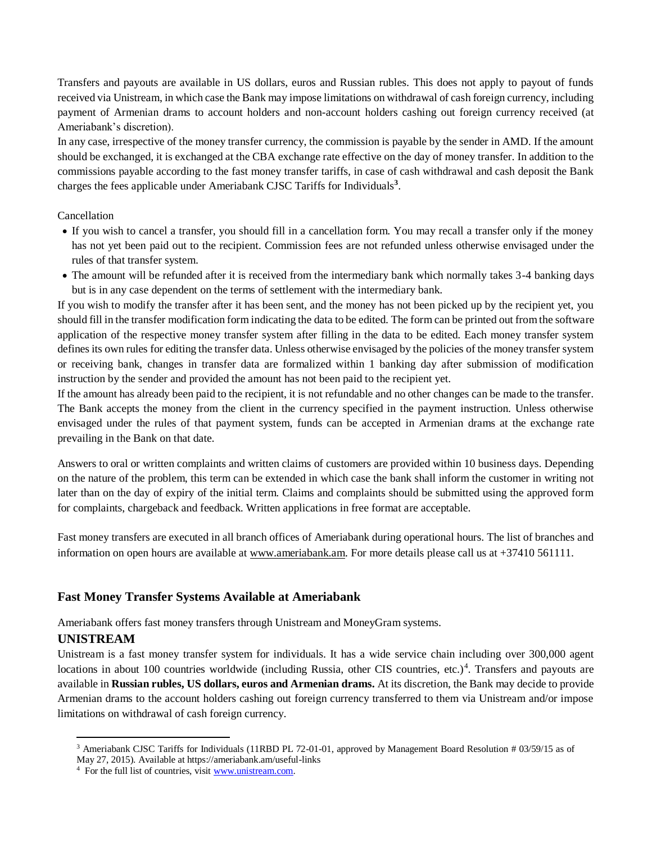Transfers and payouts are available in US dollars, euros and Russian rubles. This does not apply to payout of funds received via Unistream, in which case the Bank may impose limitations on withdrawal of cash foreign currency, including payment of Armenian drams to account holders and non-account holders cashing out foreign currency received (at Ameriabank's discretion).

In any case, irrespective of the money transfer currency, the commission is payable by the sender in AMD. If the amount should be exchanged, it is exchanged at the CBA exchange rate effective on the day of money transfer. In addition to the commissions payable according to the fast money transfer tariffs, in case of cash withdrawal and cash deposit the Bank charges the fees applicable under Ameriabank CJSC Tariffs for Individuals**<sup>3</sup>** .

#### Cancellation

- If you wish to cancel a transfer, you should fill in a cancellation form. You may recall a transfer only if the money has not yet been paid out to the recipient. Commission fees are not refunded unless otherwise envisaged under the rules of that transfer system.
- The amount will be refunded after it is received from the intermediary bank which normally takes 3-4 banking days but is in any case dependent on the terms of settlement with the intermediary bank.

If you wish to modify the transfer after it has been sent, and the money has not been picked up by the recipient yet, you should fill in the transfer modification form indicating the data to be edited. The form can be printed out from the software application of the respective money transfer system after filling in the data to be edited. Each money transfer system defines its own rules for editing the transfer data. Unless otherwise envisaged by the policies of the money transfer system or receiving bank, changes in transfer data are formalized within 1 banking day after submission of modification instruction by the sender and provided the amount has not been paid to the recipient yet.

If the amount has already been paid to the recipient, it is not refundable and no other changes can be made to the transfer. The Bank accepts the money from the client in the currency specified in the payment instruction. Unless otherwise envisaged under the rules of that payment system, funds can be accepted in Armenian drams at the exchange rate prevailing in the Bank on that date.

Answers to oral or written complaints and written claims of customers are provided within 10 business days. Depending on the nature of the problem, this term can be extended in which case the bank shall inform the customer in writing not later than on the day of expiry of the initial term. Claims and complaints should be submitted using the approved form for complaints, chargeback and feedback. Written applications in free format are acceptable.

Fast money transfers are executed in all branch offices of Ameriabank during operational hours. The list of branches and information on open hours are available a[t www.ameriabank.am](http://www.ameriabank.am/). For more details please call us at +37410 561111.

# **Fast Money Transfer Systems Available at Ameriabank**

Ameriabank offers fast money transfers through Unistream and MoneyGram systems.

# **UNISTREAM**

 $\overline{a}$ 

Unistream is a fast money transfer system for individuals. It has a wide service chain including over 300,000 agent locations in about 100 countries worldwide (including Russia, other CIS countries, etc.)<sup>4</sup>. Transfers and payouts are available in **Russian rubles, US dollars, euros and Armenian drams.** At its discretion, the Bank may decide to provide Armenian drams to the account holders cashing out foreign currency transferred to them via Unistream and/or impose limitations on withdrawal of cash foreign currency.

<sup>&</sup>lt;sup>3</sup> Ameriabank CJSC Tariffs for Individuals (11RBD PL 72-01-01, approved by Management Board Resolution # 03/59/15 as of

May 27, 2015). Available at https://ameriabank.am/useful-links

<sup>&</sup>lt;sup>4</sup> For the full list of countries, visi[t www.unistream.com.](http://www.unistream.com/)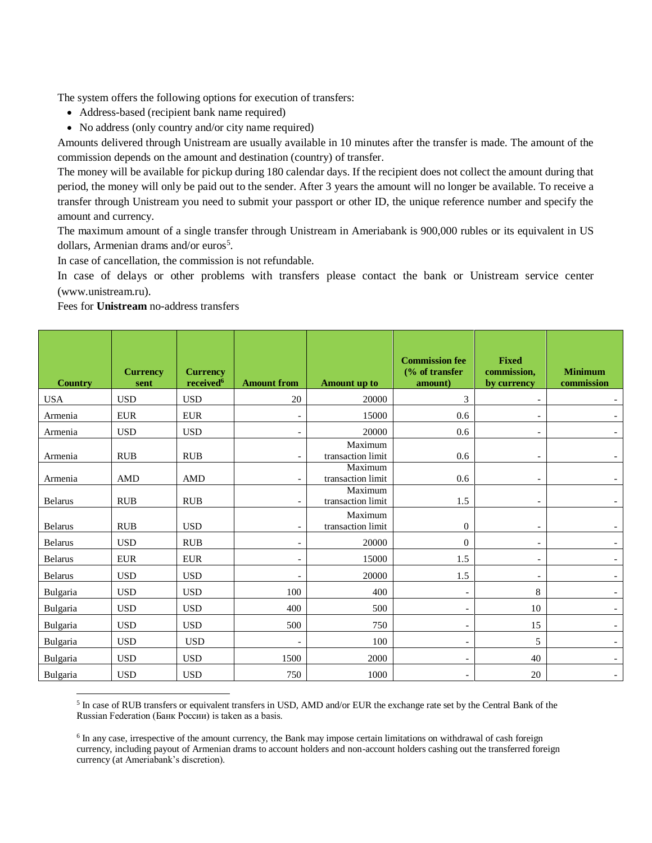The system offers the following options for execution of transfers:

- Address-based (recipient bank name required)
- No address (only country and/or city name required)

Amounts delivered through Unistream are usually available in 10 minutes after the transfer is made. The amount of the commission depends on the amount and destination (country) of transfer.

The money will be available for pickup during 180 calendar days. If the recipient does not collect the amount during that period, the money will only be paid out to the sender. After 3 years the amount will no longer be available. To receive a transfer through Unistream you need to submit your passport or other ID, the unique reference number and specify the amount and currency.

The maximum amount of a single transfer through Unistream in Ameriabank is 900,000 rubles or its equivalent in US dollars, Armenian drams and/or euros<sup>5</sup>.

In case of cancellation, the commission is not refundable.

In case of delays or other problems with transfers please contact the bank or Unistream service center ([www.unistream.ru](http://www.unistream.ru/)).

Fees for **Unistream** no-address transfers

| <b>Country</b> | <b>Currency</b><br>sent | <b>Currency</b><br>received <sup>6</sup> | <b>Amount from</b>       | <b>Amount</b> up to          | <b>Commission fee</b><br>$\frac{6}{6}$ of transfer<br>amount) | <b>Fixed</b><br>commission,<br>by currency | <b>Minimum</b><br>commission |
|----------------|-------------------------|------------------------------------------|--------------------------|------------------------------|---------------------------------------------------------------|--------------------------------------------|------------------------------|
| <b>USA</b>     | <b>USD</b>              | <b>USD</b>                               | 20                       | 20000                        | 3                                                             | $\overline{a}$                             |                              |
| Armenia        | <b>EUR</b>              | <b>EUR</b>                               | $\overline{\phantom{0}}$ | 15000                        | 0.6                                                           |                                            |                              |
| Armenia        | <b>USD</b>              | <b>USD</b>                               | $\overline{\phantom{0}}$ | 20000                        | 0.6                                                           | $\overline{\phantom{a}}$                   |                              |
| Armenia        | <b>RUB</b>              | <b>RUB</b>                               | $\overline{\phantom{a}}$ | Maximum<br>transaction limit | 0.6                                                           | $\overline{\phantom{a}}$                   |                              |
| Armenia        | AMD                     | <b>AMD</b>                               | $\overline{\phantom{a}}$ | Maximum<br>transaction limit | 0.6                                                           | $\overline{\phantom{a}}$                   |                              |
| <b>Belarus</b> | <b>RUB</b>              | <b>RUB</b>                               | $\overline{\phantom{0}}$ | Maximum<br>transaction limit | 1.5                                                           | $\overline{\phantom{a}}$                   |                              |
| <b>Belarus</b> | <b>RUB</b>              | <b>USD</b>                               | $\overline{\phantom{a}}$ | Maximum<br>transaction limit | $\theta$                                                      | $\overline{\phantom{a}}$                   |                              |
| <b>Belarus</b> | <b>USD</b>              | <b>RUB</b>                               |                          | 20000                        | $\theta$                                                      | $\overline{\phantom{a}}$                   |                              |
| <b>Belarus</b> | <b>EUR</b>              | <b>EUR</b>                               | $\overline{a}$           | 15000                        | 1.5                                                           | $\overline{\phantom{a}}$                   |                              |
| <b>Belarus</b> | <b>USD</b>              | <b>USD</b>                               | $\overline{a}$           | 20000                        | 1.5                                                           | $\overline{\phantom{a}}$                   |                              |
| Bulgaria       | <b>USD</b>              | <b>USD</b>                               | 100                      | 400                          | $\overline{a}$                                                | 8                                          |                              |
| Bulgaria       | <b>USD</b>              | <b>USD</b>                               | 400                      | 500                          |                                                               | 10                                         |                              |
| Bulgaria       | <b>USD</b>              | <b>USD</b>                               | 500                      | 750                          | $\overline{\phantom{0}}$                                      | 15                                         |                              |
| Bulgaria       | <b>USD</b>              | <b>USD</b>                               |                          | 100                          | $\overline{a}$                                                | 5                                          |                              |
| Bulgaria       | <b>USD</b>              | <b>USD</b>                               | 1500                     | 2000                         | $\qquad \qquad \blacksquare$                                  | 40                                         |                              |
| Bulgaria       | <b>USD</b>              | <b>USD</b>                               | 750                      | 1000                         |                                                               | 20                                         |                              |

 $\overline{\phantom{a}}$ <sup>5</sup> In case of RUB transfers or equivalent transfers in USD, AMD and/or EUR the exchange rate set by the Central Bank of the Russian Federation (Банк России) is taken as a basis.

<sup>6</sup> In any case, irrespective of the amount currency, the Bank may impose certain limitations on withdrawal of cash foreign currency, including payout of Armenian drams to account holders and non-account holders cashing out the transferred foreign currency (at Ameriabank's discretion).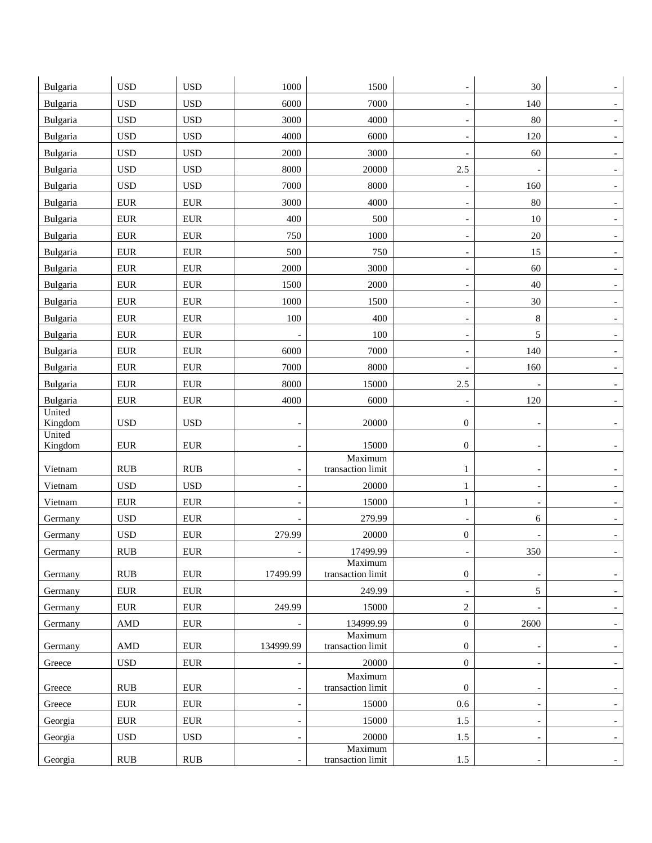| Bulgaria          | <b>USD</b>   | <b>USD</b>  | 1000                     | 1500                         |                          | 30                       |                          |
|-------------------|--------------|-------------|--------------------------|------------------------------|--------------------------|--------------------------|--------------------------|
| Bulgaria          | <b>USD</b>   | <b>USD</b>  | 6000                     | 7000                         | $\overline{\phantom{0}}$ | 140                      |                          |
| Bulgaria          | <b>USD</b>   | <b>USD</b>  | 3000                     | 4000                         |                          | 80                       |                          |
| Bulgaria          | <b>USD</b>   | <b>USD</b>  | 4000                     | 6000                         | $\overline{\phantom{a}}$ | 120                      |                          |
| Bulgaria          | <b>USD</b>   | <b>USD</b>  | 2000                     | 3000                         | $\overline{\phantom{a}}$ | 60                       |                          |
| Bulgaria          | <b>USD</b>   | <b>USD</b>  | 8000                     | 20000                        | 2.5                      | $\overline{\phantom{a}}$ |                          |
| Bulgaria          | <b>USD</b>   | <b>USD</b>  | 7000                     | 8000                         |                          | 160                      |                          |
| Bulgaria          | <b>EUR</b>   | <b>EUR</b>  | 3000                     | 4000                         |                          | $80\,$                   |                          |
| Bulgaria          | <b>EUR</b>   | ${\rm EUR}$ | 400                      | 500                          | $\overline{\phantom{0}}$ | 10                       |                          |
| Bulgaria          | <b>EUR</b>   | ${\rm EUR}$ | 750                      | 1000                         |                          | $20\,$                   |                          |
| Bulgaria          | <b>EUR</b>   | ${\rm EUR}$ | 500                      | 750                          | $\overline{\phantom{a}}$ | 15                       |                          |
| Bulgaria          | <b>EUR</b>   | ${\rm EUR}$ | 2000                     | 3000                         | $\overline{a}$           | 60                       |                          |
| Bulgaria          | <b>EUR</b>   | <b>EUR</b>  | 1500                     | 2000                         |                          | $40\,$                   |                          |
| Bulgaria          | <b>EUR</b>   | <b>EUR</b>  | 1000                     | 1500                         | $\overline{a}$           | 30                       |                          |
| Bulgaria          | <b>EUR</b>   | <b>EUR</b>  | 100                      | 400                          |                          | $\,8\,$                  |                          |
| Bulgaria          | <b>EUR</b>   | <b>EUR</b>  | $\overline{a}$           | 100                          | $\overline{\phantom{a}}$ | 5                        |                          |
| Bulgaria          | <b>EUR</b>   | <b>EUR</b>  | 6000                     | 7000                         | $\overline{a}$           | 140                      |                          |
| Bulgaria          | <b>EUR</b>   | ${\rm EUR}$ | 7000                     | 8000                         | $\overline{\phantom{a}}$ | 160                      |                          |
| Bulgaria          | <b>EUR</b>   | <b>EUR</b>  | 8000                     | 15000                        | $2.5\,$                  |                          |                          |
| Bulgaria          | <b>EUR</b>   | <b>EUR</b>  | 4000                     | 6000                         |                          | 120                      |                          |
| United<br>Kingdom | <b>USD</b>   | <b>USD</b>  | $\overline{\phantom{0}}$ | 20000                        | $\mathbf{0}$             | $\overline{\phantom{a}}$ |                          |
| United<br>Kingdom | <b>EUR</b>   | ${\rm EUR}$ |                          | 15000                        | $\mathbf{0}$             |                          |                          |
| Vietnam           | <b>RUB</b>   | RUB         | $\overline{\phantom{a}}$ | Maximum<br>transaction limit | 1                        | $\overline{\phantom{a}}$ |                          |
| Vietnam           | <b>USD</b>   | <b>USD</b>  | $\overline{\phantom{a}}$ | 20000                        | 1                        | $\overline{\phantom{a}}$ |                          |
| Vietnam           | <b>EUR</b>   | <b>EUR</b>  |                          | 15000                        | 1                        |                          |                          |
| Germany           | <b>USD</b>   | <b>EUR</b>  |                          | 279.99                       |                          | 6                        |                          |
| Germany           | <b>USD</b>   | ${\rm EUR}$ | 279.99                   | 20000                        | $\boldsymbol{0}$         |                          |                          |
| Germany           | <b>RUB</b>   | <b>EUR</b>  |                          | 17499.99                     |                          | 350                      |                          |
| Germany           | RUB          | <b>EUR</b>  | 17499.99                 | Maximum<br>transaction limit | $\mathbf{0}$             | $\overline{\phantom{a}}$ |                          |
| Germany           | ${\rm EUR}$  | <b>EUR</b>  |                          | 249.99                       | $\overline{\phantom{a}}$ | $5\overline{)}$          | $\overline{\phantom{a}}$ |
| Germany           | ${\rm EUR}$  | ${\rm EUR}$ | 249.99                   | 15000                        | $\overline{c}$           | $\overline{\phantom{a}}$ |                          |
| Germany           | <b>AMD</b>   | ${\rm EUR}$ |                          | 134999.99                    | $\boldsymbol{0}$         | 2600                     |                          |
| Germany           | <b>AMD</b>   | ${\rm EUR}$ | 134999.99                | Maximum<br>transaction limit | $\mathbf{0}$             | $\overline{a}$           |                          |
| Greece            | <b>USD</b>   | ${\rm EUR}$ | $\overline{\phantom{0}}$ | 20000                        | $\boldsymbol{0}$         | $\overline{\phantom{a}}$ |                          |
|                   |              |             |                          | Maximum                      |                          |                          |                          |
| Greece            | RUB          | ${\rm EUR}$ | $\overline{\phantom{0}}$ | transaction limit            | $\mathbf{0}$             | $\overline{\phantom{a}}$ |                          |
| Greece            | ${\rm EUR}$  | ${\rm EUR}$ | $\overline{a}$           | 15000                        | 0.6                      | $\overline{\phantom{a}}$ |                          |
| Georgia           | ${\rm EUR}$  | ${\rm EUR}$ | $\overline{\phantom{0}}$ | 15000                        | $1.5\,$                  | $\overline{\phantom{a}}$ |                          |
| Georgia           | $_{\rm USD}$ | <b>USD</b>  | $\overline{\phantom{a}}$ | 20000<br>Maximum             | 1.5                      | $\overline{\phantom{a}}$ | $\sim$                   |
| Georgia           | RUB          | RUB         | $\overline{\phantom{a}}$ | transaction limit            | $1.5\,$                  | $\overline{\phantom{a}}$ |                          |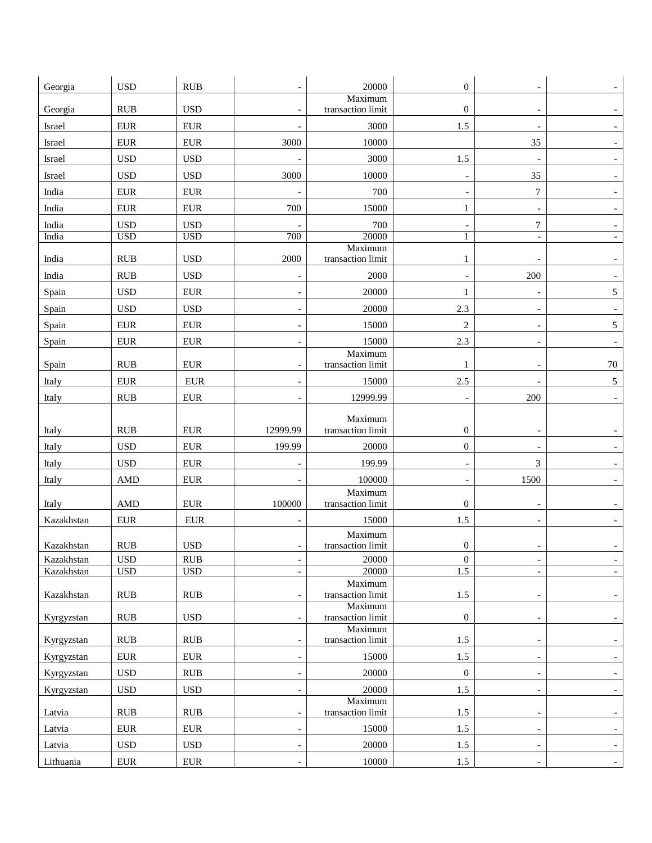| Georgia                  | <b>USD</b>                 | RUB               |                                                      | 20000                        | $\mathbf{0}$             |                                            |                                    |
|--------------------------|----------------------------|-------------------|------------------------------------------------------|------------------------------|--------------------------|--------------------------------------------|------------------------------------|
|                          |                            |                   |                                                      | Maximum                      |                          |                                            |                                    |
| Georgia                  | <b>RUB</b>                 | <b>USD</b>        | $\overline{a}$                                       | transaction limit            | $\mathbf{0}$             | $\overline{\phantom{a}}$                   |                                    |
| Israel                   | ${\rm EUR}$                | <b>EUR</b>        |                                                      | 3000                         | 1.5                      |                                            |                                    |
| Israel                   | <b>EUR</b>                 | <b>EUR</b>        | 3000                                                 | 10000                        |                          | 35                                         | $\overline{\phantom{a}}$           |
| Israel                   | <b>USD</b>                 | <b>USD</b>        | $\overline{a}$                                       | 3000                         | 1.5                      | $\overline{a}$                             |                                    |
| Israel                   | <b>USD</b>                 | <b>USD</b>        | 3000                                                 | 10000                        |                          | 35                                         |                                    |
| India                    | <b>EUR</b>                 | <b>EUR</b>        |                                                      | 700                          |                          | $\boldsymbol{7}$                           |                                    |
| India                    | <b>EUR</b>                 | <b>EUR</b>        | 700                                                  | 15000                        | 1                        | $\overline{\phantom{a}}$                   |                                    |
| India                    | <b>USD</b>                 | <b>USD</b>        |                                                      | 700                          |                          | $\boldsymbol{7}$                           |                                    |
| India                    | <b>USD</b>                 | <b>USD</b>        | 700                                                  | 20000<br>Maximum             | 1                        | $\overline{a}$                             |                                    |
| India                    | <b>RUB</b>                 | <b>USD</b>        | 2000                                                 | transaction limit            | 1                        |                                            |                                    |
| India                    | <b>RUB</b>                 | <b>USD</b>        | $\overline{a}$                                       | 2000                         | $\overline{\phantom{a}}$ | 200                                        |                                    |
| Spain                    | <b>USD</b>                 | ${\rm EUR}$       |                                                      | 20000                        | 1                        |                                            | 5                                  |
| Spain                    | <b>USD</b>                 | <b>USD</b>        | $\overline{\phantom{a}}$                             | 20000                        | 2.3                      | $\overline{\phantom{a}}$                   |                                    |
| Spain                    | <b>EUR</b>                 | ${\rm EUR}$       | $\overline{a}$                                       | 15000                        | $\overline{2}$           | $\overline{\phantom{0}}$                   | 5 <sup>5</sup>                     |
| Spain                    | <b>EUR</b>                 | <b>EUR</b>        |                                                      | 15000                        | 2.3                      | $\overline{\phantom{a}}$                   | $\overline{\phantom{a}}$           |
|                          |                            |                   |                                                      | Maximum                      |                          |                                            |                                    |
| Spain                    | <b>RUB</b>                 | <b>EUR</b>        |                                                      | transaction limit            | 1                        |                                            | $70\,$                             |
| Italy                    | <b>EUR</b>                 | <b>EUR</b>        |                                                      | 15000                        | 2.5                      |                                            | $5\phantom{.0}$                    |
| Italy                    | <b>RUB</b>                 | <b>EUR</b>        | $\overline{a}$                                       | 12999.99                     | $\overline{\phantom{0}}$ | 200                                        | $\overline{\phantom{a}}$           |
|                          |                            |                   |                                                      | Maximum                      |                          |                                            |                                    |
| Italy                    | <b>RUB</b>                 | <b>EUR</b>        | 12999.99                                             | transaction limit            | $\boldsymbol{0}$         | $\overline{\phantom{0}}$                   | $\overline{\phantom{a}}$           |
| Italy                    | <b>USD</b>                 | ${\rm EUR}$       | 199.99                                               | 20000                        | $\boldsymbol{0}$         | $\overline{\phantom{0}}$                   |                                    |
| Italy                    | <b>USD</b>                 | <b>EUR</b>        |                                                      | 199.99                       |                          | 3                                          |                                    |
| Italy                    | <b>AMD</b>                 | <b>EUR</b>        |                                                      | 100000                       |                          | 1500                                       |                                    |
| Italy                    | <b>AMD</b>                 | <b>EUR</b>        | 100000                                               | Maximum<br>transaction limit | $\mathbf{0}$             |                                            |                                    |
| Kazakhstan               | <b>EUR</b>                 | ${\rm EUR}$       | $\overline{\phantom{a}}$                             | 15000                        | 1.5                      | $\overline{\phantom{a}}$                   |                                    |
|                          |                            |                   |                                                      | Maximum                      |                          |                                            |                                    |
| Kazakhstan               | <b>RUB</b>                 | <b>USD</b>        | $\overline{\phantom{a}}$                             | transaction limit            | $\mathbf{0}$             |                                            |                                    |
| Kazakhstan<br>Kazakhstan | $_{\rm USD}$<br><b>USD</b> | RUB<br><b>USD</b> | $\overline{\phantom{a}}$<br>$\overline{\phantom{a}}$ | 20000<br>20000               | $\boldsymbol{0}$<br>1.5  | $\overline{\phantom{a}}$<br>$\blacksquare$ | $\overline{\phantom{a}}$<br>$\sim$ |
|                          |                            |                   |                                                      | Maximum                      |                          |                                            |                                    |
| Kazakhstan               | RUB                        | RUB               | $\overline{\phantom{a}}$                             | transaction limit<br>Maximum | 1.5                      | $\overline{\phantom{0}}$                   | $\overline{\phantom{a}}$           |
| Kyrgyzstan               | <b>RUB</b>                 | <b>USD</b>        | $\overline{\phantom{0}}$                             | transaction limit            | $\boldsymbol{0}$         |                                            | $\overline{\phantom{a}}$           |
| Kyrgyzstan               | RUB                        | <b>RUB</b>        | $\qquad \qquad -$                                    | Maximum<br>transaction limit | 1.5                      | $\overline{\phantom{a}}$                   | $\overline{\phantom{a}}$           |
| Kyrgyzstan               | ${\rm EUR}$                | <b>EUR</b>        | $\overline{\phantom{a}}$                             | 15000                        | 1.5                      | $\overline{\phantom{a}}$                   | $\overline{\phantom{a}}$           |
| Kyrgyzstan               | $_{\rm USD}$               | <b>RUB</b>        | $\overline{\phantom{a}}$                             | 20000                        | $\boldsymbol{0}$         | $\overline{\phantom{a}}$                   | $\overline{\phantom{a}}$           |
| Kyrgyzstan               | $_{\rm USD}$               | <b>USD</b>        | $\overline{\phantom{a}}$                             | 20000                        | $1.5\,$                  | $\overline{\phantom{a}}$                   | $ \,$                              |
| Latvia                   | <b>RUB</b>                 | RUB               | $\overline{\phantom{a}}$                             | Maximum<br>transaction limit | 1.5                      | $\overline{\phantom{0}}$                   | $\overline{\phantom{0}}$           |
| Latvia                   | <b>EUR</b>                 | ${\rm EUR}$       | $\overline{\phantom{a}}$                             | 15000                        | 1.5                      | $\overline{\phantom{a}}$                   | $\overline{\phantom{a}}$           |
| Latvia                   | $_{\rm USD}$               | <b>USD</b>        | $\overline{\phantom{a}}$                             | 20000                        | $1.5\,$                  | $\overline{\phantom{0}}$                   | ۰,                                 |
| Lithuania                | <b>EUR</b>                 | ${\rm EUR}$       | $\overline{\phantom{a}}$                             | 10000                        | 1.5                      | $\overline{\phantom{a}}$                   | $\overline{\phantom{a}}$           |
|                          |                            |                   |                                                      |                              |                          |                                            |                                    |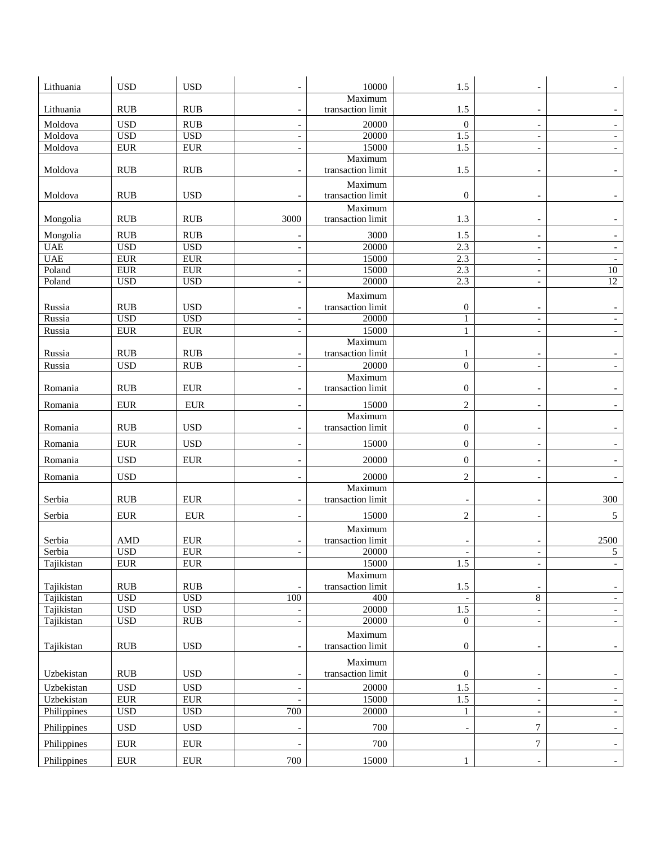| Lithuania   | <b>USD</b>                         | <b>USD</b>   |                          | 10000             | 1.5                      |                          |                          |
|-------------|------------------------------------|--------------|--------------------------|-------------------|--------------------------|--------------------------|--------------------------|
|             |                                    |              |                          | Maximum           |                          |                          |                          |
| Lithuania   | <b>RUB</b>                         | <b>RUB</b>   | $\overline{\phantom{a}}$ | transaction limit | 1.5                      | $\overline{\phantom{a}}$ |                          |
| Moldova     | <b>USD</b>                         | RUB          | $\overline{\phantom{a}}$ | 20000             | $\mathbf{0}$             | $\overline{\phantom{a}}$ | $\overline{\phantom{0}}$ |
| Moldova     | <b>USD</b>                         | <b>USD</b>   | $\overline{\phantom{0}}$ | 20000             | 1.5                      | $\overline{\phantom{0}}$ |                          |
| Moldova     | <b>EUR</b>                         | <b>EUR</b>   |                          | 15000             | 1.5                      | $\overline{a}$           |                          |
|             |                                    |              |                          | Maximum           |                          |                          |                          |
| Moldova     | <b>RUB</b>                         | RUB          |                          | transaction limit | 1.5                      |                          |                          |
|             |                                    |              |                          | Maximum           |                          |                          |                          |
| Moldova     | <b>RUB</b>                         | <b>USD</b>   |                          | transaction limit | $\boldsymbol{0}$         |                          |                          |
|             |                                    |              |                          | Maximum           |                          |                          |                          |
| Mongolia    | <b>RUB</b>                         | <b>RUB</b>   | 3000                     | transaction limit | 1.3                      | $\overline{\phantom{0}}$ |                          |
| Mongolia    | <b>RUB</b>                         | <b>RUB</b>   |                          | 3000              | 1.5                      | $\overline{\phantom{a}}$ |                          |
| <b>UAE</b>  | <b>USD</b>                         | <b>USD</b>   |                          | 20000             | 2.3                      | $\overline{a}$           |                          |
| <b>UAE</b>  | <b>EUR</b>                         | <b>EUR</b>   |                          | 15000             | 2.3                      | $\overline{\phantom{a}}$ | $\overline{a}$           |
| Poland      | ${\rm EUR}$                        | <b>EUR</b>   | $\overline{\phantom{0}}$ | 15000             | 2.3                      | $\overline{\phantom{0}}$ | 10                       |
| Poland      | <b>USD</b>                         | <b>USD</b>   | $\overline{\phantom{a}}$ | 20000             | 2.3                      | $\overline{\phantom{a}}$ | $\overline{12}$          |
|             |                                    |              |                          | Maximum           |                          |                          |                          |
| Russia      | RUB                                | <b>USD</b>   |                          | transaction limit | $\boldsymbol{0}$         |                          |                          |
| Russia      | <b>USD</b>                         | <b>USD</b>   | $\overline{\phantom{a}}$ | 20000             | $\mathbf{1}$             | $\overline{\phantom{a}}$ |                          |
| Russia      | <b>EUR</b>                         | <b>EUR</b>   |                          | 15000             | $\mathbf{1}$             | $\overline{\phantom{0}}$ |                          |
|             |                                    |              |                          | Maximum           |                          |                          |                          |
| Russia      | <b>RUB</b>                         | <b>RUB</b>   | $\overline{\phantom{a}}$ | transaction limit | 1                        | $\overline{\phantom{a}}$ |                          |
| Russia      | <b>USD</b>                         | <b>RUB</b>   | $\overline{\phantom{0}}$ | 20000             | $\mathbf{0}$             | $\overline{a}$           |                          |
|             |                                    |              |                          | Maximum           |                          |                          |                          |
| Romania     | <b>RUB</b>                         | <b>EUR</b>   |                          | transaction limit | $\mathbf{0}$             |                          |                          |
| Romania     | ${\rm EUR}$                        | <b>EUR</b>   | $\overline{\phantom{a}}$ | 15000             | $\sqrt{2}$               | $\overline{\phantom{a}}$ | $\overline{\phantom{0}}$ |
|             |                                    |              |                          | Maximum           |                          |                          |                          |
| Romania     | <b>RUB</b>                         | <b>USD</b>   | $\overline{\phantom{a}}$ | transaction limit | $\mathbf{0}$             | $\overline{\phantom{a}}$ |                          |
| Romania     | <b>EUR</b>                         | <b>USD</b>   | $\overline{\phantom{a}}$ | 15000             | $\mathbf{0}$             | $\overline{\phantom{a}}$ |                          |
| Romania     | <b>USD</b>                         | ${\rm EUR}$  |                          | 20000             | $\mathbf{0}$             |                          |                          |
| Romania     | <b>USD</b>                         |              |                          | 20000             | $\mathfrak{2}$           | $\overline{\phantom{a}}$ |                          |
|             |                                    |              |                          | Maximum           |                          |                          |                          |
| Serbia      | <b>RUB</b>                         | <b>EUR</b>   | $\overline{\phantom{0}}$ | transaction limit |                          | $\overline{\phantom{0}}$ | 300                      |
| Serbia      | <b>EUR</b>                         | <b>EUR</b>   |                          | 15000             | $\overline{c}$           |                          | 5                        |
|             |                                    |              |                          | Maximum           |                          |                          |                          |
| Serbia      | <b>AMD</b>                         | <b>EUR</b>   |                          | transaction limit |                          |                          | 2500                     |
| Serbia      | <b>USD</b>                         | <b>EUR</b>   | $\overline{\phantom{a}}$ | 20000             |                          |                          | 5                        |
| Tajikistan  | ${\rm EUR}$                        | ${\rm EUR}$  |                          | 15000             | 1.5                      | $\overline{\phantom{0}}$ | $\overline{\phantom{a}}$ |
|             |                                    |              |                          | Maximum           |                          |                          |                          |
| Tajikistan  | $\mathbf{R} \mathbf{U} \mathbf{B}$ | RUB          |                          | transaction limit | $1.5\,$                  | $\overline{\phantom{a}}$ | $\overline{\phantom{a}}$ |
| Tajikistan  | <b>USD</b>                         | <b>USD</b>   | 100                      | 400               | $\overline{\phantom{a}}$ | $\overline{8}$           | $\overline{\phantom{a}}$ |
| Tajikistan  | <b>USD</b>                         | <b>USD</b>   | $\overline{\phantom{a}}$ | 20000             | 1.5                      | $\blacksquare$           | $ \,$                    |
| Tajikistan  | <b>USD</b>                         | RUB          | $\overline{\phantom{0}}$ | 20000             | $\mathbf{0}$             | $\qquad \qquad -$        | $\overline{\phantom{a}}$ |
|             |                                    |              |                          | Maximum           |                          |                          |                          |
| Tajikistan  | <b>RUB</b>                         | <b>USD</b>   | $\overline{\phantom{a}}$ | transaction limit | $\boldsymbol{0}$         | $\overline{\phantom{0}}$ | $\overline{\phantom{a}}$ |
|             |                                    |              |                          | Maximum           |                          |                          |                          |
| Uzbekistan  | $\mathbf{R} \mathbf{U} \mathbf{B}$ | $_{\rm USD}$ | $\overline{\phantom{0}}$ | transaction limit | $\boldsymbol{0}$         | $\overline{\phantom{0}}$ | $\overline{\phantom{0}}$ |
| Uzbekistan  | <b>USD</b>                         | <b>USD</b>   | $\overline{\phantom{a}}$ | 20000             | 1.5                      | $\overline{\phantom{a}}$ | $\overline{\phantom{a}}$ |
| Uzbekistan  | <b>EUR</b>                         | ${\rm EUR}$  | $\overline{a}$           | 15000             | 1.5                      | $\overline{\phantom{a}}$ | $-$                      |
| Philippines | <b>USD</b>                         | <b>USD</b>   | 700                      | 20000             | $\mathbf{1}$             | $\overline{\phantom{a}}$ | $ \,$                    |
| Philippines | <b>USD</b>                         | $_{\rm USD}$ | $\overline{a}$           | 700               | $\overline{\phantom{a}}$ | $\tau$                   | $\overline{\phantom{0}}$ |
| Philippines | ${\rm EUR}$                        | ${\rm EUR}$  |                          | 700               |                          | 7                        |                          |
|             |                                    |              |                          |                   |                          |                          | $\sim$                   |
| Philippines | ${\rm EUR}$                        | ${\rm EUR}$  | 700                      | 15000             | $\mathbf{1}$             | $\overline{\phantom{0}}$ |                          |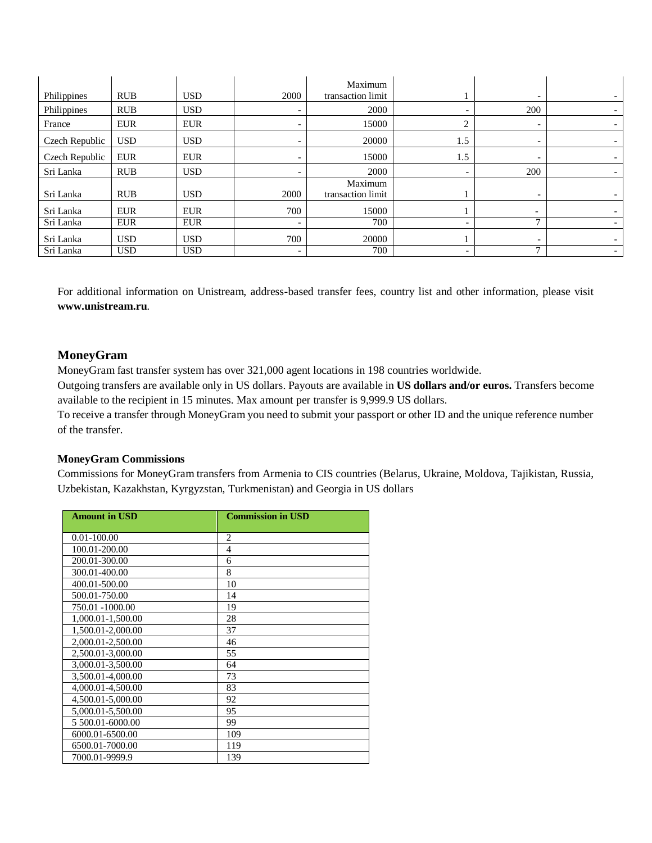| Philippines    | <b>RUB</b> | <b>USD</b> | 2000                     | Maximum<br>transaction limit |                          | $\overline{\phantom{0}}$ |  |
|----------------|------------|------------|--------------------------|------------------------------|--------------------------|--------------------------|--|
| Philippines    | <b>RUB</b> | <b>USD</b> |                          | 2000                         |                          | 200                      |  |
| France         | <b>EUR</b> | <b>EUR</b> |                          | 15000                        | ⌒                        | $\overline{\phantom{0}}$ |  |
| Czech Republic | <b>USD</b> | <b>USD</b> |                          | 20000                        | 1.5                      | $\overline{\phantom{0}}$ |  |
| Czech Republic | <b>EUR</b> | <b>EUR</b> | $\overline{\phantom{a}}$ | 15000                        | 1.5                      | $\overline{\phantom{a}}$ |  |
| Sri Lanka      | <b>RUB</b> | <b>USD</b> | $\overline{\phantom{a}}$ | 2000                         | $\overline{\phantom{0}}$ | 200                      |  |
| Sri Lanka      | <b>RUB</b> | <b>USD</b> | 2000                     | Maximum<br>transaction limit |                          | $\overline{\phantom{a}}$ |  |
| Sri Lanka      | <b>EUR</b> | <b>EUR</b> | 700                      | 15000                        |                          | $\overline{\phantom{a}}$ |  |
| Sri Lanka      | <b>EUR</b> | <b>EUR</b> | $\overline{\phantom{a}}$ | 700                          |                          | 7                        |  |
| Sri Lanka      | <b>USD</b> | <b>USD</b> | 700                      | 20000                        |                          | $\overline{\phantom{a}}$ |  |
| Sri Lanka      | <b>USD</b> | <b>USD</b> | $\overline{\phantom{a}}$ | 700                          | -                        | 7                        |  |

For additional information on Unistream, address-based transfer fees, country list and other information, please visit **[www.unistream.ru](http://www.unistream.ru/)**.

## **MoneyGram**

MoneyGram fast transfer system has over 321,000 agent locations in 198 countries worldwide. Outgoing transfers are available only in US dollars. Payouts are available in **US dollars and/or euros.** Transfers become available to the recipient in 15 minutes. Max amount per transfer is 9,999.9 US dollars.

To receive a transfer through MoneyGram you need to submit your passport or other ID and the unique reference number of the transfer.

## **[MoneyGram Commissions](http://www.ameriabank.am/userfiles/file/MoneyGram.pdf)**

Commissions for MoneyGram transfers from Armenia to CIS countries (Belarus, Ukraine, Moldova, Tajikistan, Russia, Uzbekistan, Kazakhstan, Kyrgyzstan, Turkmenistan) and Georgia in US dollars

| <b>Amount in USD</b> | <b>Commission in USD</b> |
|----------------------|--------------------------|
| $0.01 - 100.00$      | $\overline{c}$           |
| 100.01-200.00        | $\overline{4}$           |
| 200.01-300.00        | 6                        |
| 300.01-400.00        | 8                        |
| 400.01-500.00        | 10                       |
| 500.01-750.00        | 14                       |
| 750.01 -1000.00      | 19                       |
| 1,000.01-1,500.00    | 28                       |
| 1,500.01-2,000.00    | 37                       |
| 2,000.01-2,500.00    | 46                       |
| 2,500.01-3,000.00    | 55                       |
| 3,000.01-3,500.00    | 64                       |
| 3,500.01-4,000.00    | 73                       |
| 4,000.01-4,500.00    | 83                       |
| 4,500.01-5,000.00    | 92                       |
| 5,000.01-5,500.00    | 95                       |
| 5 500.01-6000.00     | 99                       |
| 6000.01-6500.00      | 109                      |
| 6500.01-7000.00      | 119                      |
| 7000.01-9999.9       | 139                      |